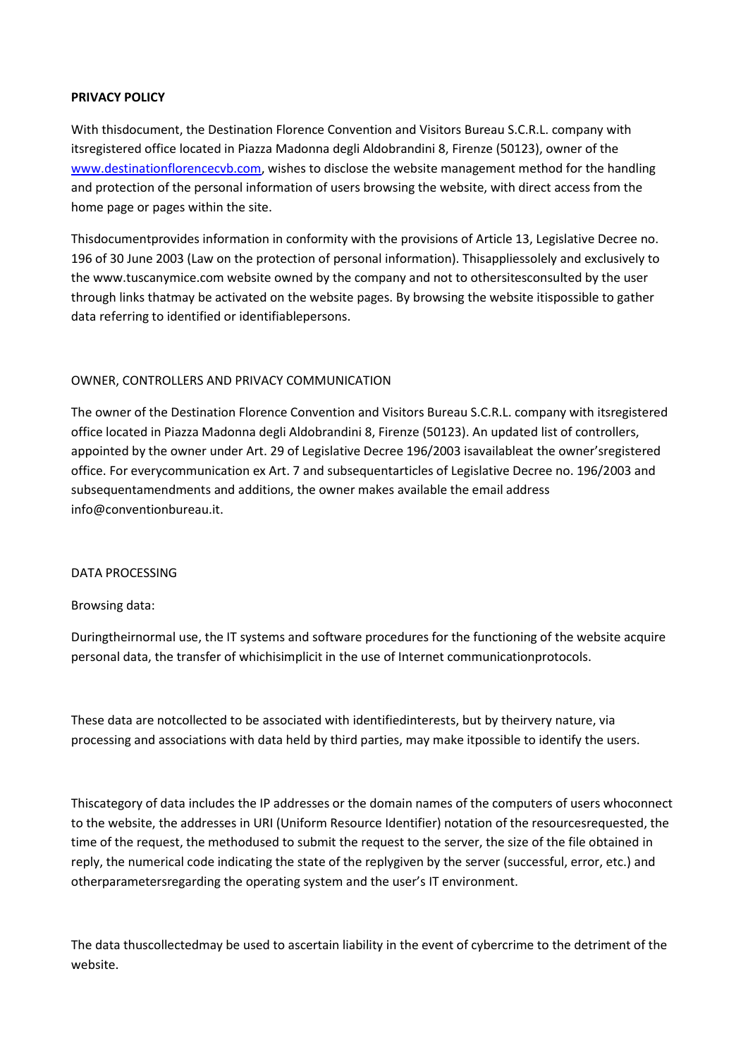## **PRIVACY POLICY**

With thisdocument, the Destination Florence Convention and Visitors Bureau S.C.R.L. company with itsregistered office located in Piazza Madonna degli Aldobrandini 8, Firenze (50123), owner of the [www.destinationflorencecvb.com,](http://www.destinationflorencecvb.com/) wishes to disclose the website management method for the handling and protection of the personal information of users browsing the website, with direct access from the home page or pages within the site.

Thisdocumentprovides information in conformity with the provisions of Article 13, Legislative Decree no. 196 of 30 June 2003 (Law on the protection of personal information). Thisappliessolely and exclusively to the www.tuscanymice.com website owned by the company and not to othersitesconsulted by the user through links thatmay be activated on the website pages. By browsing the website itispossible to gather data referring to identified or identifiablepersons.

## OWNER, CONTROLLERS AND PRIVACY COMMUNICATION

The owner of the Destination Florence Convention and Visitors Bureau S.C.R.L. company with itsregistered office located in Piazza Madonna degli Aldobrandini 8, Firenze (50123). An updated list of controllers, appointed by the owner under Art. 29 of Legislative Decree 196/2003 isavailableat the owner'sregistered office. For everycommunication ex Art. 7 and subsequentarticles of Legislative Decree no. 196/2003 and subsequentamendments and additions, the owner makes available the email address info@conventionbureau.it.

#### DATA PROCESSING

## Browsing data:

Duringtheirnormal use, the IT systems and software procedures for the functioning of the website acquire personal data, the transfer of whichisimplicit in the use of Internet communicationprotocols.

These data are notcollected to be associated with identifiedinterests, but by theirvery nature, via processing and associations with data held by third parties, may make itpossible to identify the users.

Thiscategory of data includes the IP addresses or the domain names of the computers of users whoconnect to the website, the addresses in URI (Uniform Resource Identifier) notation of the resourcesrequested, the time of the request, the methodused to submit the request to the server, the size of the file obtained in reply, the numerical code indicating the state of the replygiven by the server (successful, error, etc.) and otherparametersregarding the operating system and the user's IT environment.

The data thuscollectedmay be used to ascertain liability in the event of cybercrime to the detriment of the website.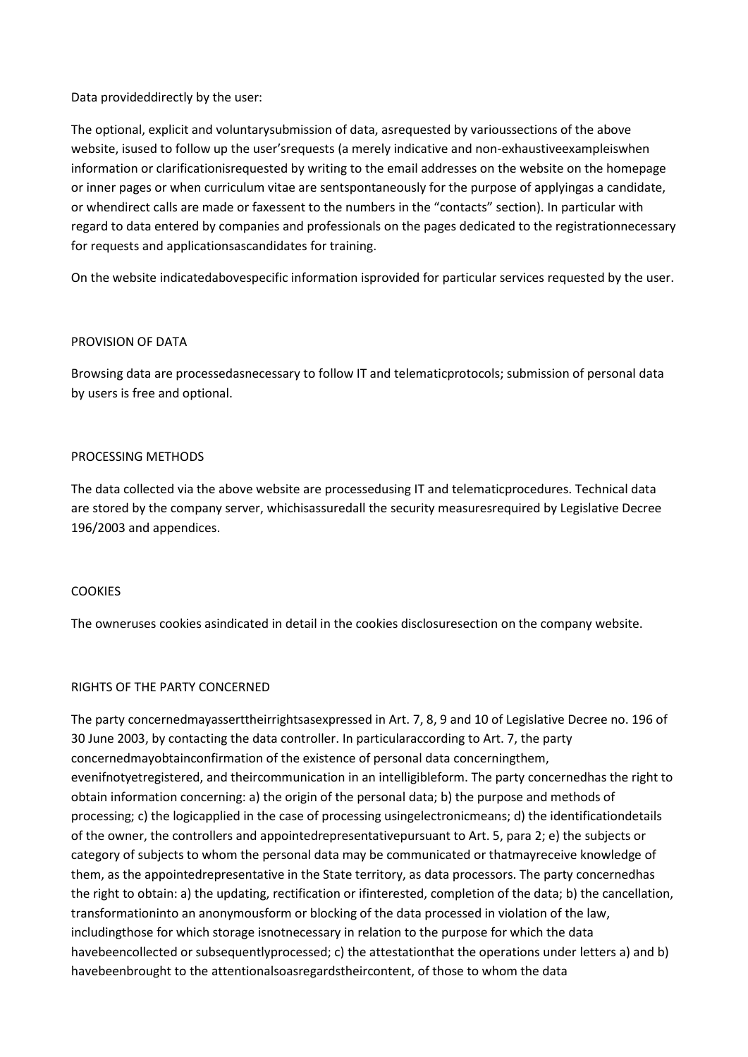## Data provideddirectly by the user:

The optional, explicit and voluntarysubmission of data, asrequested by varioussections of the above website, isused to follow up the user'srequests (a merely indicative and non-exhaustiveexampleiswhen information or clarificationisrequested by writing to the email addresses on the website on the homepage or inner pages or when curriculum vitae are sentspontaneously for the purpose of applyingas a candidate, or whendirect calls are made or faxessent to the numbers in the "contacts" section). In particular with regard to data entered by companies and professionals on the pages dedicated to the registrationnecessary for requests and applicationsascandidates for training.

On the website indicatedabovespecific information isprovided for particular services requested by the user.

## PROVISION OF DATA

Browsing data are processedasnecessary to follow IT and telematicprotocols; submission of personal data by users is free and optional.

## PROCESSING METHODS

The data collected via the above website are processedusing IT and telematicprocedures. Technical data are stored by the company server, whichisassuredall the security measuresrequired by Legislative Decree 196/2003 and appendices.

## **COOKIES**

The owneruses cookies asindicated in detail in the cookies disclosuresection on the company website.

## RIGHTS OF THE PARTY CONCERNED

The party concernedmayasserttheirrightsasexpressed in Art. 7, 8, 9 and 10 of Legislative Decree no. 196 of 30 June 2003, by contacting the data controller. In particularaccording to Art. 7, the party concernedmayobtainconfirmation of the existence of personal data concerningthem, evenifnotyetregistered, and theircommunication in an intelligibleform. The party concernedhas the right to obtain information concerning: a) the origin of the personal data; b) the purpose and methods of processing; c) the logicapplied in the case of processing usingelectronicmeans; d) the identificationdetails of the owner, the controllers and appointedrepresentativepursuant to Art. 5, para 2; e) the subjects or category of subjects to whom the personal data may be communicated or thatmayreceive knowledge of them, as the appointedrepresentative in the State territory, as data processors. The party concernedhas the right to obtain: a) the updating, rectification or ifinterested, completion of the data; b) the cancellation, transformationinto an anonymousform or blocking of the data processed in violation of the law, includingthose for which storage isnotnecessary in relation to the purpose for which the data havebeencollected or subsequentlyprocessed; c) the attestationthat the operations under letters a) and b) havebeenbrought to the attentionalsoasregardstheircontent, of those to whom the data